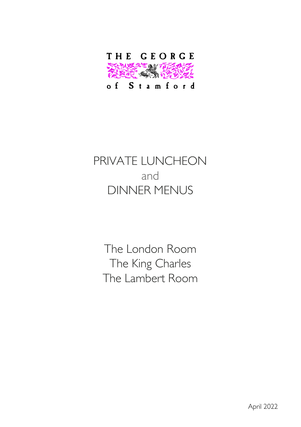

# PRIVATE LUNCHEON and DINNER MENUS

The London Room The King Charles The Lambert Room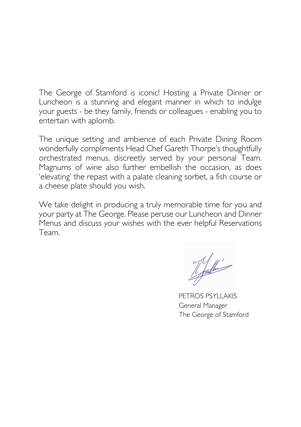The George of Stamford is iconic! Hosting a Private Dinner or Luncheon is a stunning and elegant manner in which to indulge your guests - be they family, friends or colleagues - enabling you to entertain with aplomb.

The unique setting and ambience of each Private Dining Room wonderfully compliments Head Chef Gareth Thorpe's thoughtfully orchestrated menus, discreetly served by your personal Team. Magnums of wine also further embellish the occasion, as does 'elevating' the repast with a palate cleaning sorbet, a fish course or a cheese plate should you wish.

We take delight in producing a truly memorable time for you and your party at The George. Please peruse our Luncheon and Dinner Menus and discuss your wishes with the ever helpful Reservations Team.

Lefaulter's

PETROS PSYLLAKIS General Manager The George of Stamford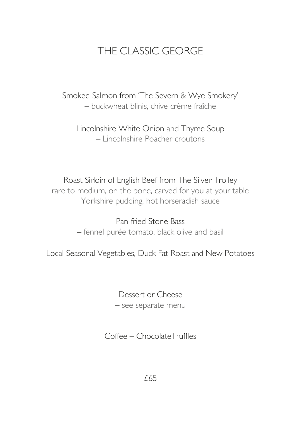# THE CLASSIC GEORGE

Smoked Salmon from 'The Severn & Wye Smokery' – buckwheat blinis, chive crème fraîche

Lincolnshire White Onion and Thyme Soup – Lincolnshire Poacher croutons

Roast Sirloin of English Beef from The Silver Trolley – rare to medium, on the bone, carved for you at your table – Yorkshire pudding, hot horseradish sauce

> Pan-fried Stone Bass – fennel purée tomato, black olive and basil

Local Seasonal Vegetables, Duck Fat Roast and New Potatoes

Dessert or Cheese – see separate menu

Coffee – ChocolateTruffles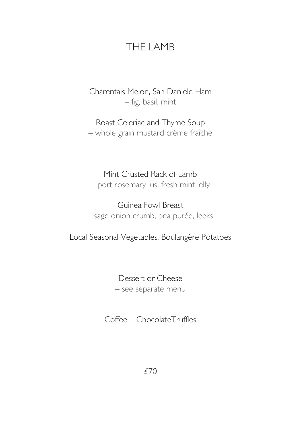### THE LAMB

Charentais Melon, San Daniele Ham – fig, basil, mint

Roast Celeriac and Thyme Soup – whole grain mustard crème fraîche

Mint Crusted Rack of Lamb – port rosemary jus, fresh mint jelly

Guinea Fowl Breast – sage onion crumb, pea purée, leeks

Local Seasonal Vegetables, Boulangère Potatoes

Dessert or Cheese – see separate menu

Coffee – ChocolateTruffles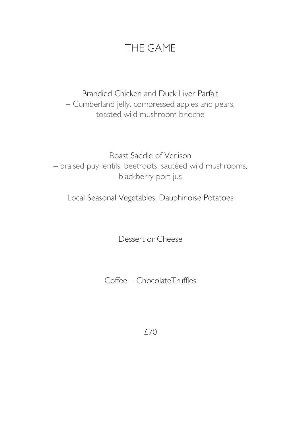## THE GAME

# Brandied Chicken and Duck Liver Parfait

– Cumberland jelly, compressed apples and pears, toasted wild mushroom brioche

Roast Saddle of Venison – braised puy lentils, beetroots, sautéed wild mushrooms, blackberry port jus

Local Seasonal Vegetables, Dauphinoise Potatoes

Dessert or Cheese

Coffee – ChocolateTruffles

£70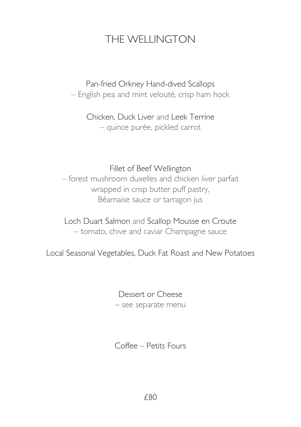## THE WELLINGTON

Pan-fried Orkney Hand-dived Scallops – English pea and mint velouté, crisp ham hock

Chicken, Duck Liver and Leek Terrine – quince purée, pickled carrot

#### Fillet of Beef Wellington

– forest mushroom duxelles and chicken liver parfait wrapped in crisp butter puff pastry, Béarnaise sauce or tarragon jus

Loch Duart Salmon and Scallop Mousse en Croute – tomato, chive and caviar Champagne sauce

Local Seasonal Vegetables, Duck Fat Roast and New Potatoes

Dessert or Cheese – see separate menu

Coffee – Petits Fours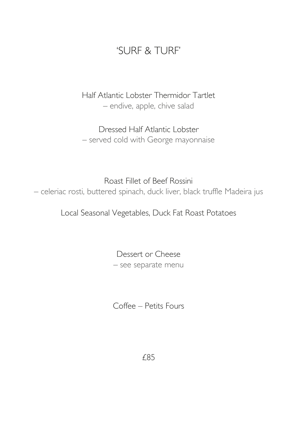### 'SURF & TURF'

Half Atlantic Lobster Thermidor Tartlet – endive, apple, chive salad

Dressed Half Atlantic Lobster – served cold with George mayonnaise

Roast Fillet of Beef Rossini – celeriac rosti, buttered spinach, duck liver, black truffle Madeira jus

Local Seasonal Vegetables, Duck Fat Roast Potatoes

Dessert or Cheese – see separate menu

Coffee – Petits Fours

£85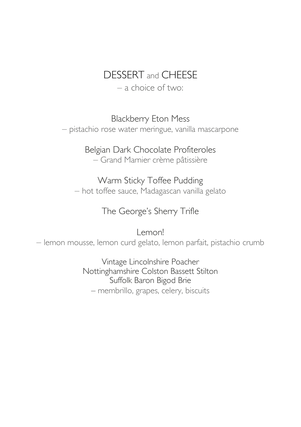### DESSERT and CHEESE

– a choice of two:

Blackberry Eton Mess

– pistachio rose water meringue, vanilla mascarpone

### Belgian Dark Chocolate Profiteroles

– Grand Marnier crème pâtissière

#### Warm Sticky Toffee Pudding

– hot toffee sauce, Madagascan vanilla gelato

### The George's Sherry Trifle

Lemon! – lemon mousse, lemon curd gelato, lemon parfait, pistachio crumb

> Vintage Lincolnshire Poacher Nottinghamshire Colston Bassett Stilton Suffolk Baron Bigod Brie – membrillo, grapes, celery, biscuits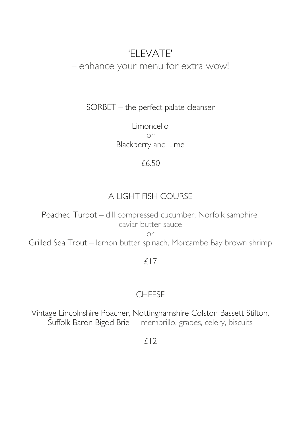#### 'ELEVATE' – enhance your menu for extra wow!

SORBET – the perfect palate cleanser

Limoncello or Blackberry and Lime

#### £6.50

#### A LIGHT FISH COURSE

Poached Turbot – dill compressed cucumber, Norfolk samphire, caviar butter sauce

or

Grilled Sea Trout – lemon butter spinach, Morcambe Bay brown shrimp

#### £17

#### CHEESE

Vintage Lincolnshire Poacher, Nottinghamshire Colston Bassett Stilton, Suffolk Baron Bigod Brie – membrillo, grapes, celery, biscuits

 $f(2)$